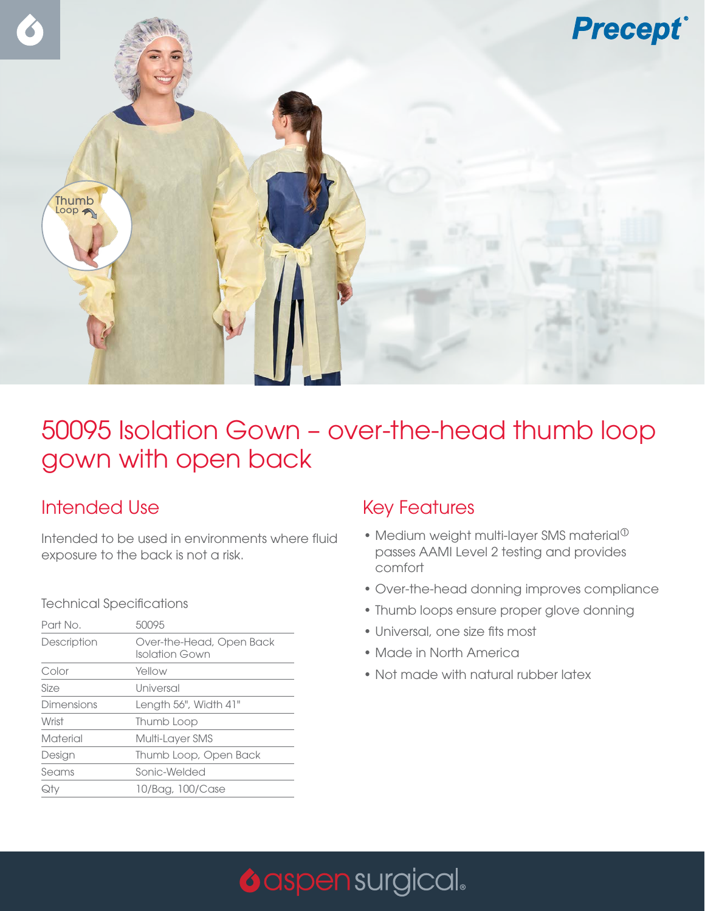

## 50095 Isolation Gown – over-the-head thumb loop gown with open back

### Intended Use

Intended to be used in environments where fluid exposure to the back is not a risk.

#### Technical Specifications

| Part No.    | 50095                                      |
|-------------|--------------------------------------------|
| Description | Over-the-Head, Open Back<br>Isolation Gown |
| Color       | Yellow                                     |
| Size        | Universal                                  |
| Dimensions  | Length 56", Width 41"                      |
| Wrist       | Thumb Loop                                 |
| Material    | Multi-Layer SMS                            |
| Design      | Thumb Loop, Open Back                      |
| Seams       | Sonic-Welded                               |
| Qtv         | 10/Bag, 100/Case                           |

### Key Features

- Medium weight multi-layer SMS material $^{\circledR}$ passes AAMI Level 2 testing and provides comfort
- Over-the-head donning improves compliance
- Thumb loops ensure proper glove donning
- Universal, one size fits most
- Made in North America
- Not made with natural rubber latex

# **O** aspen surgical.